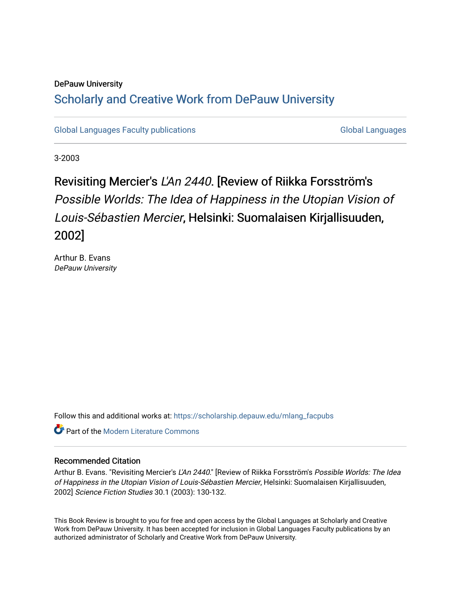### DePauw University Scholarly and [Creative Work from DePauw Univ](https://scholarship.depauw.edu/)ersity

[Global Languages Faculty publications](https://scholarship.depauw.edu/mlang_facpubs) [Global Languages](https://scholarship.depauw.edu/modernlanguages) Global Languages

3-2003

## Revisiting Mercier's L'An 2440. [Review of Riikka Forsström's Possible Worlds: The Idea of Happiness in the Utopian Vision of Louis-Sébastien Mercier, Helsinki: Suomalaisen Kirjallisuuden, 2002]

Arthur B. Evans DePauw University

Follow this and additional works at: [https://scholarship.depauw.edu/mlang\\_facpubs](https://scholarship.depauw.edu/mlang_facpubs?utm_source=scholarship.depauw.edu%2Fmlang_facpubs%2F31&utm_medium=PDF&utm_campaign=PDFCoverPages)

**C** Part of the Modern Literature Commons

#### Recommended Citation

Arthur B. Evans. "Revisiting Mercier's L'An 2440." [Review of Riikka Forsström's Possible Worlds: The Idea of Happiness in the Utopian Vision of Louis-Sébastien Mercier, Helsinki: Suomalaisen Kirjallisuuden, 2002] Science Fiction Studies 30.1 (2003): 130-132.

This Book Review is brought to you for free and open access by the Global Languages at Scholarly and Creative Work from DePauw University. It has been accepted for inclusion in Global Languages Faculty publications by an authorized administrator of Scholarly and Creative Work from DePauw University.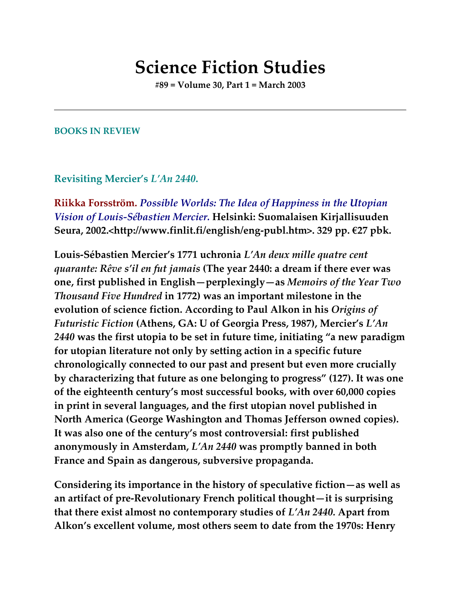# **Science Fiction Studies**

**#89 = Volume 30, Part 1 = March 2003**

### **BOOKS IN REVIEW**

### **Revisiting Mercier's** *L'An 2440***.**

**Riikka Forsström.** *Possible Worlds: The Idea of Happiness in the Utopian Vision of Louis-Sébastien Mercier.* **Helsinki: Suomalaisen Kirjallisuuden Seura, 2002.<http://www.finlit.fi/english/eng-publ.htm>. 329 pp. €27 pbk.**

**Louis-Sébastien Mercier's 1771 uchronia** *L'An deux mille quatre cent quarante: Rêve s'il en fut jamais* **(The year 2440: a dream if there ever was one, first published in English—perplexingly—as** *Memoirs of the Year Two Thousand Five Hundred* **in 1772) was an important milestone in the evolution of science fiction. According to Paul Alkon in his** *Origins of Futuristic Fiction* **(Athens, GA: U of Georgia Press, 1987), Mercier's** *L'An 2440* **was the first utopia to be set in future time, initiating "a new paradigm for utopian literature not only by setting action in a specific future chronologically connected to our past and present but even more crucially by characterizing that future as one belonging to progress" (127). It was one of the eighteenth century's most successful books, with over 60,000 copies in print in several languages, and the first utopian novel published in North America (George Washington and Thomas Jefferson owned copies). It was also one of the century's most controversial: first published anonymously in Amsterdam,** *L'An 2440* **was promptly banned in both France and Spain as dangerous, subversive propaganda.**

**Considering its importance in the history of speculative fiction—as well as an artifact of pre-Revolutionary French political thought—it is surprising that there exist almost no contemporary studies of** *L'An 2440.* **Apart from Alkon's excellent volume, most others seem to date from the 1970s: Henry**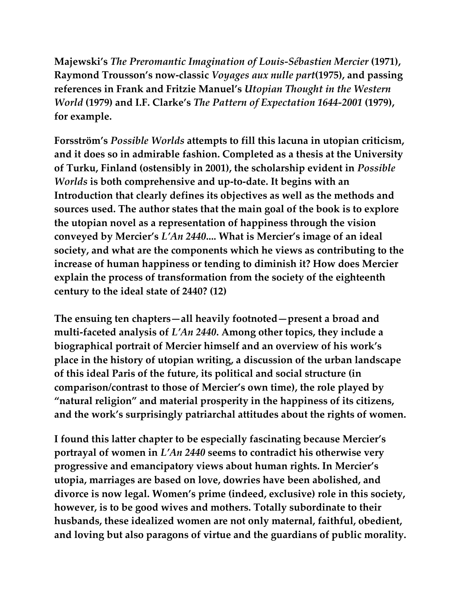**Majewski's** *The Preromantic Imagination of Louis-Sébastien Mercier* **(1971), Raymond Trousson's now-classic** *Voyages aux nulle part***(1975), and passing references in Frank and Fritzie Manuel's** *Utopian Thought in the Western World* **(1979) and I.F. Clarke's** *The Pattern of Expectation 1644-2001* **(1979), for example.**

**Forsström's** *Possible Worlds* **attempts to fill this lacuna in utopian criticism, and it does so in admirable fashion. Completed as a thesis at the University of Turku, Finland (ostensibly in 2001), the scholarship evident in** *Possible Worlds* **is both comprehensive and up-to-date. It begins with an Introduction that clearly defines its objectives as well as the methods and sources used. The author states that the main goal of the book is to explore the utopian novel as a representation of happiness through the vision conveyed by Mercier's** *L'An 2440***.... What is Mercier's image of an ideal society, and what are the components which he views as contributing to the increase of human happiness or tending to diminish it? How does Mercier explain the process of transformation from the society of the eighteenth century to the ideal state of 2440? (12)**

**The ensuing ten chapters—all heavily footnoted—present a broad and multi-faceted analysis of** *L'An 2440***. Among other topics, they include a biographical portrait of Mercier himself and an overview of his work's place in the history of utopian writing, a discussion of the urban landscape of this ideal Paris of the future, its political and social structure (in comparison/contrast to those of Mercier's own time), the role played by "natural religion" and material prosperity in the happiness of its citizens, and the work's surprisingly patriarchal attitudes about the rights of women.**

**I found this latter chapter to be especially fascinating because Mercier's portrayal of women in** *L'An 2440* **seems to contradict his otherwise very progressive and emancipatory views about human rights. In Mercier's utopia, marriages are based on love, dowries have been abolished, and divorce is now legal. Women's prime (indeed, exclusive) role in this society, however, is to be good wives and mothers. Totally subordinate to their husbands, these idealized women are not only maternal, faithful, obedient, and loving but also paragons of virtue and the guardians of public morality.**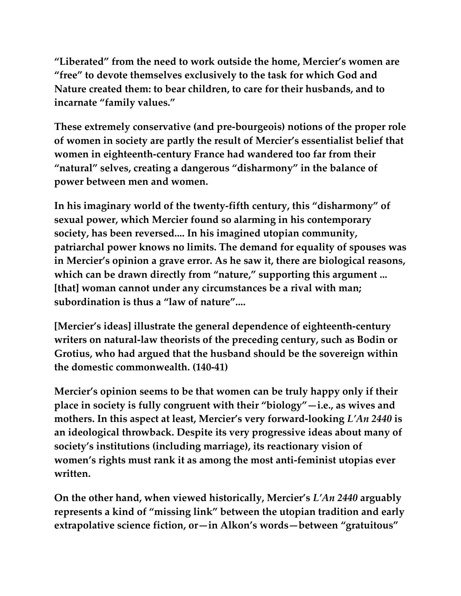**"Liberated" from the need to work outside the home, Mercier's women are "free" to devote themselves exclusively to the task for which God and Nature created them: to bear children, to care for their husbands, and to incarnate "family values."**

**These extremely conservative (and pre-bourgeois) notions of the proper role of women in society are partly the result of Mercier's essentialist belief that women in eighteenth-century France had wandered too far from their "natural" selves, creating a dangerous "disharmony" in the balance of power between men and women.**

**In his imaginary world of the twenty-fifth century, this "disharmony" of sexual power, which Mercier found so alarming in his contemporary society, has been reversed.... In his imagined utopian community, patriarchal power knows no limits. The demand for equality of spouses was in Mercier's opinion a grave error. As he saw it, there are biological reasons, which can be drawn directly from "nature," supporting this argument ... [that] woman cannot under any circumstances be a rival with man; subordination is thus a "law of nature"....**

**[Mercier's ideas] illustrate the general dependence of eighteenth-century writers on natural-law theorists of the preceding century, such as Bodin or Grotius, who had argued that the husband should be the sovereign within the domestic commonwealth. (140-41)**

**Mercier's opinion seems to be that women can be truly happy only if their place in society is fully congruent with their "biology"—i.e., as wives and mothers. In this aspect at least, Mercier's very forward-looking** *L'An 2440* **is an ideological throwback. Despite its very progressive ideas about many of society's institutions (including marriage), its reactionary vision of women's rights must rank it as among the most anti-feminist utopias ever written.**

**On the other hand, when viewed historically, Mercier's** *L'An 2440* **arguably represents a kind of "missing link" between the utopian tradition and early extrapolative science fiction, or—in Alkon's words—between "gratuitous"**